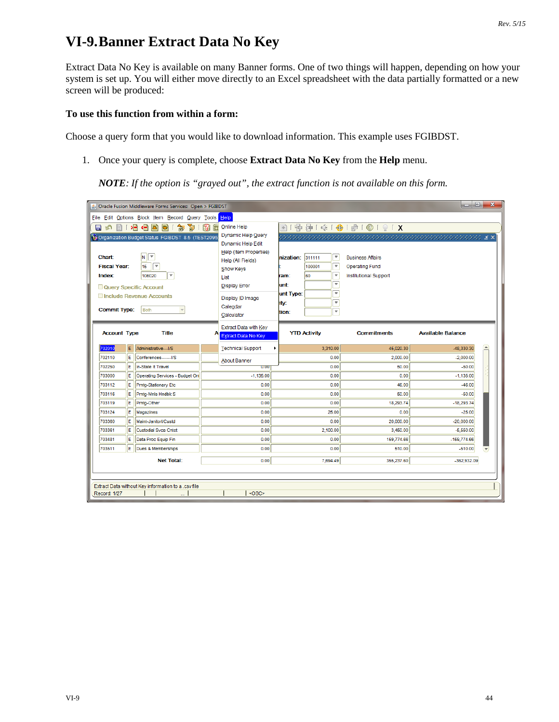## **VI-9.Banner Extract Data No Key**

Extract Data No Key is available on many Banner forms. One of two things will happen, depending on how your system is set up. You will either move directly to an Excel spreadsheet with the data partially formatted or a new screen will be produced:

## **To use this function from within a form:**

Choose a query form that you would like to download information. This example uses FGIBDST.

1. Once your query is complete, choose **Extract Data No Key** from the **Help** menu.

*NOTE: If the option is "grayed out", the extract function is not available on this form.*

| ا کا د<br>$\mathbf{x}$<br>Dracle Fusion Middleware Forms Services: Open > FGIBDST          |                                                                                        |                                              |                         |                                                                                             |  |  |  |  |  |  |  |  |
|--------------------------------------------------------------------------------------------|----------------------------------------------------------------------------------------|----------------------------------------------|-------------------------|---------------------------------------------------------------------------------------------|--|--|--|--|--|--|--|--|
| File Edit Options Block Item Record Query Tools Help                                       |                                                                                        |                                              |                         |                                                                                             |  |  |  |  |  |  |  |  |
| 自由相相因同<br>印图面<br>匐<br>日の                                                                   | 图   中 宇   永   ◆   ◆   ◎   ◎   ◎   ×                                                    |                                              |                         |                                                                                             |  |  |  |  |  |  |  |  |
| Organization Budget Status FGIBDST 8.5 (TEST2095)<br>⊺▼<br>IN I<br>Chart:                  | Dynamic Help Query<br>Dynamic Help Edit<br>Help (Item Properties)<br>Help (All Fields) | $\overline{\phantom{a}}$<br>nization: 311111 | <b>Business Affairs</b> | . The contraction of the contraction of the contraction of $\mathcal{L} \times \mathcal{L}$ |  |  |  |  |  |  |  |  |
| $\overline{\phantom{a}}$<br>15<br><b>Fiscal Year:</b>                                      | Show Keys                                                                              | $\overline{\phantom{a}}$<br>100001           | <b>Operating Fund</b>   |                                                                                             |  |  |  |  |  |  |  |  |
| $\overline{\mathbf{v}}$<br><b>Index:</b><br>106020                                         | List                                                                                   | ☞<br>60<br>ram:                              | Institutional Support   |                                                                                             |  |  |  |  |  |  |  |  |
| Query Specific Account                                                                     | <b>Display Error</b>                                                                   | ▼<br>lunt:                                   |                         |                                                                                             |  |  |  |  |  |  |  |  |
| Include Revenue Accounts<br><b>Commit Type:</b><br><b>Both</b>                             | Display ID Image<br>Calendar<br>Calculator                                             | ▼<br>unt Type:<br>▼<br>ity:<br>▼<br>tion:    |                         |                                                                                             |  |  |  |  |  |  |  |  |
| <b>Account Type</b><br><b>Title</b>                                                        | Extract Data with Key<br><b>Extract Data No Key</b>                                    | <b>YTD Activity</b>                          | <b>Commitments</b>      | <b>Available Balance</b>                                                                    |  |  |  |  |  |  |  |  |
| E.<br>702010<br>Administrative---I/S                                                       | <b>Technical Support</b><br>٠                                                          | 3.310.00                                     | 45,020.30               | $\blacktriangle$<br>-48,330.30                                                              |  |  |  |  |  |  |  |  |
| lE.<br>702110<br>Conferences-------I/S                                                     | <b>About Banner</b>                                                                    | 0.00                                         | 2,000.00                | $-2,000.00$                                                                                 |  |  |  |  |  |  |  |  |
| lE.<br>702250<br>In-State It Travel                                                        | 0.00                                                                                   | 0.00                                         | 50.00                   | $-50.00$                                                                                    |  |  |  |  |  |  |  |  |
| 703000<br>ΙE<br>Operating Services - Budget Onl                                            | $-1.135.00$                                                                            | 0.00                                         | 0.00                    | $-1,135.00$                                                                                 |  |  |  |  |  |  |  |  |
| lE.<br>703112<br>Prntq-Stationary Etc                                                      | 0.00                                                                                   | 0.00                                         | 46.00                   | $-46.00$                                                                                    |  |  |  |  |  |  |  |  |
| ΙE<br>703116<br>Prntq-Mnls Hndbk S                                                         | 0.00                                                                                   | 0.00                                         | 50.00                   | $-50.00$                                                                                    |  |  |  |  |  |  |  |  |
| lE.<br>Prntg-Other<br>703119                                                               | 0.00                                                                                   | 0.00                                         | 18,293.74               | $-18,293.74$                                                                                |  |  |  |  |  |  |  |  |
| E<br>703124<br>Magazines                                                                   | 0.00                                                                                   | 25.00                                        | 0.00                    | $-25.00$                                                                                    |  |  |  |  |  |  |  |  |
| E<br>Maint-Janitorl/Custd<br>703360                                                        | 0.00                                                                                   | 0.00                                         | 20,000.00               | $-20,000.00$                                                                                |  |  |  |  |  |  |  |  |
| ΙE<br><b>Custodial Sycs Cntct</b><br>703361                                                | 0.00                                                                                   | 2,100.00                                     | 3,450.00                | $-5,550.00$                                                                                 |  |  |  |  |  |  |  |  |
| E<br>703481<br>Data Proc Equip Fin                                                         | 0.00                                                                                   | 0.00                                         | 159,774.66              | $-159,774.66$                                                                               |  |  |  |  |  |  |  |  |
| lE.<br>703511<br>Dues & Memberships                                                        | 0.00                                                                                   | 0.00                                         | 510.00                  | $-510.00$                                                                                   |  |  |  |  |  |  |  |  |
| <b>Net Total:</b>                                                                          | 0.00                                                                                   | 7,694.49                                     | 355,237.60              | $-362,932.09$                                                                               |  |  |  |  |  |  |  |  |
| Extract Data without Key information to a .csv file<br><osc><br/><b>Record: 1/27</b></osc> |                                                                                        |                                              |                         |                                                                                             |  |  |  |  |  |  |  |  |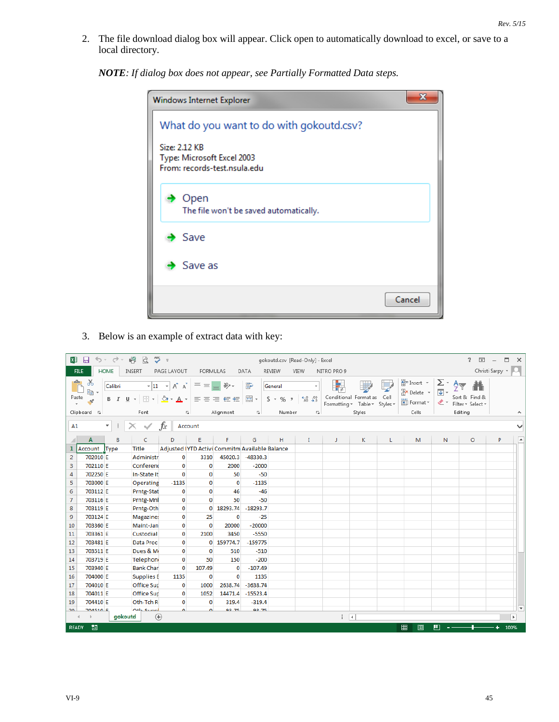2. The file download dialog box will appear. Click open to automatically download to excel, or save to a local directory.

*NOTE: If dialog box does not appear, see Partially Formatted Data steps.*

| Windows Internet Explorer                                                   |        |  |  |  |  |  |  |  |  |  |
|-----------------------------------------------------------------------------|--------|--|--|--|--|--|--|--|--|--|
| What do you want to do with gokoutd.csv?                                    |        |  |  |  |  |  |  |  |  |  |
| Size: 2.12 KB<br>Type: Microsoft Excel 2003<br>From: records-test.nsula.edu |        |  |  |  |  |  |  |  |  |  |
| Open<br>The file won't be saved automatically.                              |        |  |  |  |  |  |  |  |  |  |
| $\blacktriangleright$ Save                                                  |        |  |  |  |  |  |  |  |  |  |
| Save as                                                                     |        |  |  |  |  |  |  |  |  |  |
|                                                                             | Cancel |  |  |  |  |  |  |  |  |  |

3. Below is an example of extract data with key:

| x               | 8                                                      | ち・マー 昭 は                      | $\overline{\phantom{a}}$ =                                                                |                 |                                                |                                        | gokoutd.csv [Read-Only] - Excel |                                                                                        |                          |                                                 |          |                                                 |                                   | 2<br>困                                                        | п                 | $\times$                 |
|-----------------|--------------------------------------------------------|-------------------------------|-------------------------------------------------------------------------------------------|-----------------|------------------------------------------------|----------------------------------------|---------------------------------|----------------------------------------------------------------------------------------|--------------------------|-------------------------------------------------|----------|-------------------------------------------------|-----------------------------------|---------------------------------------------------------------|-------------------|--------------------------|
| <b>FILE</b>     | HOME                                                   | <b>INSERT</b>                 | PAGE LAYOUT                                                                               | <b>FORMULAS</b> |                                                | DATA                                   | <b>REVIEW</b>                   | VIEW                                                                                   | NITRO PRO 9              |                                                 |          |                                                 |                                   |                                                               | Christi Sarpy v Q |                          |
| ĥ<br>Paste      | $\chi$<br>Calibri<br><b>le -</b><br>B I<br>Clipboard 5 | $U$ +<br>田 -<br>Font          | $A^{\uparrow} A^{\uparrow}$<br>$\mathbf{v}$ 11 $\mathbf{v}$<br>$\mathcal{D}$ -<br>A<br>Б. | $\equiv \equiv$ | $\equiv$ $\frac{1}{2}$ .<br>目目目転転<br>Alignment | 昬<br>目。<br>$\overline{\Gamma_{\rm M}}$ | General<br>$$ - %$<br>Number    | $\substack{\leftarrow &0 &00\\ 0.0 &\leftarrow &0\\0 &\leftarrow &0\end{array}$<br>Гý. | Ę<br>Formatting *        | Conditional Format as Cell<br>Table *<br>Styles | Styles * | Em Insert *<br>EX Delete *<br>Format *<br>Cells | Σ۰<br>$\overline{\bullet}$<br>- ج | $A_{\nabla}$<br>Sort & Find &<br>Filter * Select *<br>Editing |                   | $\wedge$                 |
|                 |                                                        |                               |                                                                                           |                 |                                                |                                        |                                 |                                                                                        |                          |                                                 |          |                                                 |                                   |                                                               |                   |                          |
| A1              | ٠                                                      | $\checkmark$<br>÷<br>$\times$ | fx<br>Account                                                                             |                 |                                                |                                        |                                 |                                                                                        |                          |                                                 |          |                                                 |                                   |                                                               |                   | $\checkmark$             |
|                 | A                                                      | B<br>C                        | D                                                                                         | E               | F                                              | G                                      | н                               | $\mathbf{I}$                                                                           | J.                       | К                                               | L        | M                                               | $\mathbb N$                       | $\circ$                                                       | P                 | ≖                        |
|                 | Account Type                                           | <b>Title</b>                  | Adjusted (YTD Activi Commitm Available Balance                                            |                 |                                                |                                        |                                 |                                                                                        |                          |                                                 |          |                                                 |                                   |                                                               |                   |                          |
| $\overline{2}$  | 702010 E                                               | Administr                     | $\mathbf{0}$                                                                              | 3310            | 45020.3                                        | $-48330.3$                             |                                 |                                                                                        |                          |                                                 |          |                                                 |                                   |                                                               |                   |                          |
| 3               | 702110 E                                               | Conferend                     | $\mathbf{0}$                                                                              | $\mathbf 0$     | 2000                                           | $-2000$                                |                                 |                                                                                        |                          |                                                 |          |                                                 |                                   |                                                               |                   |                          |
| 4               | 702250 E                                               | In-State It                   | $\mathbf 0$                                                                               | $\mathbf{0}$    | 50                                             | $-50$                                  |                                 |                                                                                        |                          |                                                 |          |                                                 |                                   |                                                               |                   |                          |
| 5               | 703000 E                                               | Operating                     | $-1135$                                                                                   | $\mathbf{0}$    | $\mathbf 0$                                    | $-1135$                                |                                 |                                                                                        |                          |                                                 |          |                                                 |                                   |                                                               |                   |                          |
| 6               | 703112 E                                               | Prntg-Stat                    | 0                                                                                         | $\mathbf{0}$    | 46                                             | $-46$                                  |                                 |                                                                                        |                          |                                                 |          |                                                 |                                   |                                                               |                   |                          |
| $\overline{7}$  | 703116 E                                               | Prntg-Mnl                     | $\bf{0}$                                                                                  | $\Omega$        | 50                                             | $-50$                                  |                                 |                                                                                        |                          |                                                 |          |                                                 |                                   |                                                               |                   |                          |
| 8               | 703119 E                                               | Prntg-Oth                     | $\bf{0}$                                                                                  | $\mathbf{0}$    | 18293.74                                       | $-18293.7$                             |                                 |                                                                                        |                          |                                                 |          |                                                 |                                   |                                                               |                   |                          |
| 9               | 703124 E                                               | Magazine:                     | 0                                                                                         | 25              | 0                                              | $-25$                                  |                                 |                                                                                        |                          |                                                 |          |                                                 |                                   |                                                               |                   |                          |
| 10              | 703360 E                                               | Maint-Jan                     | 0                                                                                         | $\Omega$        | 20000                                          | $-20000$                               |                                 |                                                                                        |                          |                                                 |          |                                                 |                                   |                                                               |                   |                          |
| 11              | 703361 E                                               | Custodial                     | 0                                                                                         | 2100            | 3450                                           | $-5550$                                |                                 |                                                                                        |                          |                                                 |          |                                                 |                                   |                                                               |                   |                          |
| 12              | 703481 E                                               | Data Proc                     | 0                                                                                         | $\Omega$        | 159774.7                                       | $-159775$                              |                                 |                                                                                        |                          |                                                 |          |                                                 |                                   |                                                               |                   |                          |
| 13              | 703511 E                                               | Dues & M                      | 0                                                                                         | $\mathbf{0}$    | 510                                            | $-510$                                 |                                 |                                                                                        |                          |                                                 |          |                                                 |                                   |                                                               |                   |                          |
| 14              | 703719 E                                               | <b>Telephon</b>               | $\mathbf 0$                                                                               | 50              | 150                                            | $-200$                                 |                                 |                                                                                        |                          |                                                 |          |                                                 |                                   |                                                               |                   |                          |
| 15              | 703940 E                                               | <b>Bank Char</b>              | $\mathbf 0$                                                                               | 107.49          | $\mathbf{0}$                                   | $-107.49$                              |                                 |                                                                                        |                          |                                                 |          |                                                 |                                   |                                                               |                   |                          |
| 16              | 704000 E                                               | <b>Supplies E</b>             | 1135                                                                                      | $\mathbf{0}$    | $\mathbf{0}$                                   | 1135                                   |                                 |                                                                                        |                          |                                                 |          |                                                 |                                   |                                                               |                   |                          |
| 17              | 704010 E                                               | <b>Office Sup</b>             | 0                                                                                         | 1000            | 2638.74                                        | $-3638.74$                             |                                 |                                                                                        |                          |                                                 |          |                                                 |                                   |                                                               |                   |                          |
| 18              | 704011 E                                               | Office Sup                    | 0                                                                                         | 1052            | 14471.4                                        | $-15523.4$                             |                                 |                                                                                        |                          |                                                 |          |                                                 |                                   |                                                               |                   |                          |
| 19              | 704410 E                                               | Oth-Tch R                     | $\mathbf{0}$                                                                              | $\mathbf{0}$    | 319.4                                          | $-319.4$                               |                                 |                                                                                        |                          |                                                 |          |                                                 |                                   |                                                               |                   |                          |
| 20 <sub>0</sub> | <b>704510 E</b>                                        | Oth Cunni                     | $\overline{a}$                                                                            | $\sqrt{2}$      | 02.75                                          | 02.75                                  |                                 |                                                                                        |                          |                                                 |          |                                                 |                                   |                                                               |                   | $\overline{\phantom{a}}$ |
|                 |                                                        | aokoutd                       | $\bigoplus$                                                                               |                 |                                                |                                        |                                 |                                                                                        | $\mathbb{E}[\mathbf{X}]$ |                                                 |          |                                                 |                                   |                                                               |                   | $\mathbb{F}$             |
| <b>READY</b>    | 圖                                                      |                               |                                                                                           |                 |                                                |                                        |                                 |                                                                                        |                          |                                                 |          | 囲<br>圓                                          | 吅                                 |                                                               |                   | 100%                     |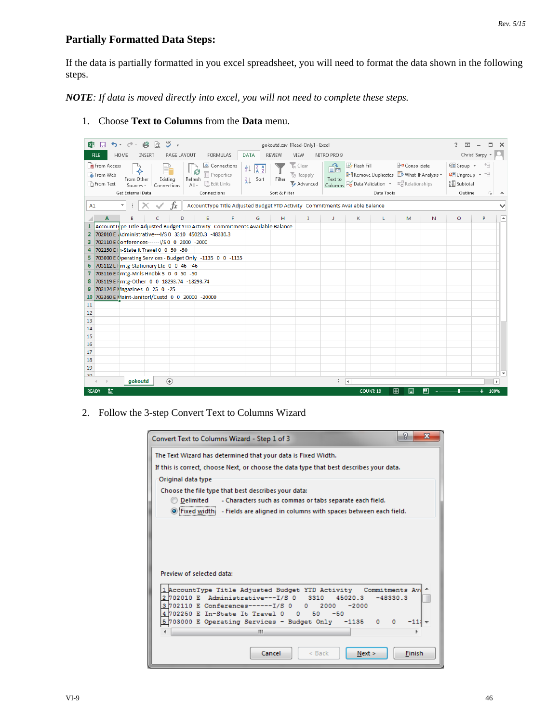## **Partially Formatted Data Steps:**

If the data is partially formatted in you excel spreadsheet, you will need to format the data shown in the following steps.

*NOTE: If data is moved directly into excel, you will not need to complete these steps.*

1. Choose **Text to Columns** from the **Data** menu.

| $\frac{\text{ABC}}{2}$ =<br>$5 - 2 -$<br>L9<br>d<br>$x \mathbb{I}$ $\Box$                                                                                                                                                                                                                                                                                                                                                                                                                                                                                                                                                              | gokoutd.csv [Read-Only] - Excel                                                                                               |                                                                                                                                                                              | 2<br>$\Box$<br>п<br>$\times$<br>$\overline{\phantom{a}}$                    |
|----------------------------------------------------------------------------------------------------------------------------------------------------------------------------------------------------------------------------------------------------------------------------------------------------------------------------------------------------------------------------------------------------------------------------------------------------------------------------------------------------------------------------------------------------------------------------------------------------------------------------------------|-------------------------------------------------------------------------------------------------------------------------------|------------------------------------------------------------------------------------------------------------------------------------------------------------------------------|-----------------------------------------------------------------------------|
| <b>HOME</b><br>PAGE LAYOUT<br><b>FORMULAS</b><br><b>FILE</b><br><b>INSERT</b>                                                                                                                                                                                                                                                                                                                                                                                                                                                                                                                                                          | <b>DATA</b><br><b>REVIEW</b><br>VIEW                                                                                          | NITRO PRO 9                                                                                                                                                                  | Christi Sarpy *                                                             |
| <b>R</b> From Access<br>Connections<br>G<br><b>B</b> From Web<br>Fill Properties<br>From Other<br>Existing<br>Refresh<br><b>From Text</b><br>a Edit Links<br>$All -$<br>Sources $-$<br>Connections<br>Get External Data<br>Connections                                                                                                                                                                                                                                                                                                                                                                                                 | is Clear<br>$\frac{Z}{A}$ $\frac{A}{Z}$<br>₹↓<br><b>Z</b> Reapply<br>Sort<br>Filter<br>٤L<br><b>Advanced</b><br>Sort & Filter | <b>E</b> + <b>¤</b> Consolidate<br>Flash Fill<br>éè<br>Remove Duplicates <b>E</b> What-If Analysis ~<br>Text to<br>Columns E Data Validation + E Relationships<br>Data Tools | <b>电B</b> Group ▼<br>柵<br>e Ungroup - 一<br>開 Subtotal<br>Outline<br>Б.<br>ᄉ |
| fx<br>$\overline{\phantom{a}}$<br>A1                                                                                                                                                                                                                                                                                                                                                                                                                                                                                                                                                                                                   | AccountType Title Adjusted Budget YTD Activity Commitments Available Balance                                                  |                                                                                                                                                                              |                                                                             |
| D<br>F                                                                                                                                                                                                                                                                                                                                                                                                                                                                                                                                                                                                                                 | н<br>$\mathbf{I}$<br>G                                                                                                        | $\mathsf{K}$<br>J.<br>N<br>L<br>M                                                                                                                                            | $\circ$<br>P                                                                |
| AccountType Title Adjusted Budget YTD Activity Commitments Available Balance<br>702010 E . dministrative--- 1/S 0 3310 45020.3 -48330.3<br>$\overline{2}$<br>702110 E (onferences------- I/S 0 0 2000 -2000<br>з<br>702250 E I h-State It Travel 0 0 50 -50<br>4<br>703000 E (perating Services - Budget Only -1135 0 0 -1135<br>5.<br>703112 E F rntg-Stationary Etc 0 0 46 -46<br>6<br>703116 E Frntg-Mnls Hndbk S 0 0 50 -50<br>703119 E Frntg-Other 0 0 18293.74 -18293.74<br>8<br>703124 EMagazines 0 25 0 -25<br>9<br>703360 E Maint-Janitorl/Custd 0 0 20000 -20000<br>10<br>11<br>12<br>13<br>14<br>15<br>16<br>17<br>18<br>19 |                                                                                                                               |                                                                                                                                                                              | $\overline{\phantom{a}}$                                                    |
| $\overline{20}$<br>$\bigoplus$<br>gokoutd                                                                                                                                                                                                                                                                                                                                                                                                                                                                                                                                                                                              |                                                                                                                               | ि वि                                                                                                                                                                         | $\blacktriangleright$                                                       |
| 制<br><b>READY</b>                                                                                                                                                                                                                                                                                                                                                                                                                                                                                                                                                                                                                      |                                                                                                                               | 用<br>щ<br><b>COUNT: 10</b><br>间                                                                                                                                              | 100%                                                                        |

2. Follow the 3-step Convert Text to Columns Wizard

| P<br>х<br>Convert Text to Columns Wizard - Step 1 of 3                                                                                                                                                                                                                  |
|-------------------------------------------------------------------------------------------------------------------------------------------------------------------------------------------------------------------------------------------------------------------------|
| The Text Wizard has determined that your data is Fixed Width.<br>If this is correct, choose Next, or choose the data type that best describes your data.                                                                                                                |
| Original data type<br>Choose the file type that best describes your data:<br>Delimited<br>- Characters such as commas or tabs separate each field.<br>Fixed width! - Fields are aligned in columns with spaces between each field.                                      |
| Preview of selected data:                                                                                                                                                                                                                                               |
| 1 AccountType Title Adjusted Budget YTD Activity Commitments Av<br>2702010 E Administrative---I/S 0<br>3310<br>45020.3<br>$-48330.3$<br>3702110 E Conferences------- I/S 0<br>$\circ$<br>2000<br>$-2000$<br>4702250 E In-State It Travel 0<br>50<br>$^{\circ}$<br>$-50$ |
| 5 703000 E Operating Services - Budget Only -1135<br>$\circ$<br>$\circ$<br>Ш                                                                                                                                                                                            |
| Cancel<br>$\leq$ Back<br>Finish<br>Next >                                                                                                                                                                                                                               |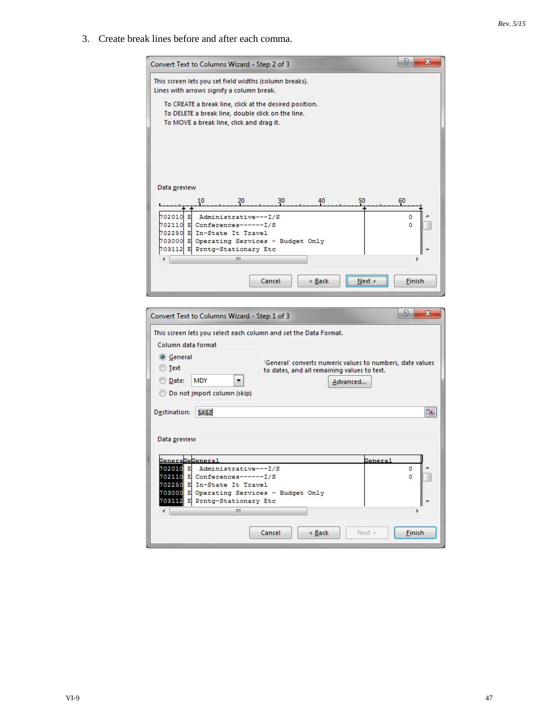3. Create break lines before and after each comma.

| Convert Text to Columns Wizard - Step 2 of 3                                                                |                                                           |          | P<br>x            |
|-------------------------------------------------------------------------------------------------------------|-----------------------------------------------------------|----------|-------------------|
| This screen lets you set field widths (column breaks).<br>Lines with arrows signify a column break.         |                                                           |          |                   |
| To CREATE a break line, click at the desired position.<br>To DELETE a break line, double click on the line. |                                                           |          |                   |
| To MOVE a break line, click and drag it.                                                                    |                                                           |          |                   |
|                                                                                                             |                                                           |          |                   |
|                                                                                                             |                                                           |          |                   |
|                                                                                                             |                                                           |          |                   |
| Data <u>p</u> review                                                                                        |                                                           |          |                   |
| 10<br>20                                                                                                    | 30<br>40                                                  | 50       | 60                |
| 702010<br>Administrative---I/S<br>R                                                                         |                                                           |          | ٥                 |
| 702110 E Conferences------I/S<br>702250 E In-State It Travel                                                |                                                           |          | ٥                 |
| 703000 E Operating Services - Budget Only                                                                   |                                                           |          |                   |
| 703112 E Prntg-Stationary Etc<br>Ш                                                                          |                                                           |          |                   |
|                                                                                                             |                                                           |          |                   |
|                                                                                                             | Cancel<br>< Back                                          | $Next$ > | <b>Finish</b>     |
|                                                                                                             |                                                           |          |                   |
|                                                                                                             |                                                           |          |                   |
|                                                                                                             |                                                           |          | P<br>$\mathbf{x}$ |
| Convert Text to Columns Wizard - Step 1 of 3                                                                |                                                           |          |                   |
| This screen lets you select each column and set the Data Format.                                            |                                                           |          |                   |
| Column data format                                                                                          |                                                           |          |                   |
| <b>O</b> General<br>◯ Text                                                                                  | 'General' converts numeric values to numbers, date values |          |                   |
| <b>MDY</b><br>◎ <u>D</u> ate:                                                                               | to dates, and all remaining values to text.<br>Advanced   |          |                   |
| ◯ Do not import column (skip)                                                                               |                                                           |          |                   |
| Destination:<br>SAS2                                                                                        |                                                           |          | 区                 |
|                                                                                                             |                                                           |          |                   |
| Data preview                                                                                                |                                                           |          |                   |
|                                                                                                             |                                                           |          |                   |
| <b>GeneraGeGeneral</b><br>702010 E Administrative---I/S                                                     |                                                           | General  | ٥                 |
| 702110 E Conferences-------I/S                                                                              |                                                           |          | o                 |
| 702250 E In-State It Travel<br>703000 E Operating Services - Budget Only                                    |                                                           |          |                   |
| 703112 E Prntg-Stationary Etc<br>Ш<br>←⊫                                                                    |                                                           |          |                   |
|                                                                                                             | Cancel<br>< Back                                          | Next >   | <b>Einish</b>     |